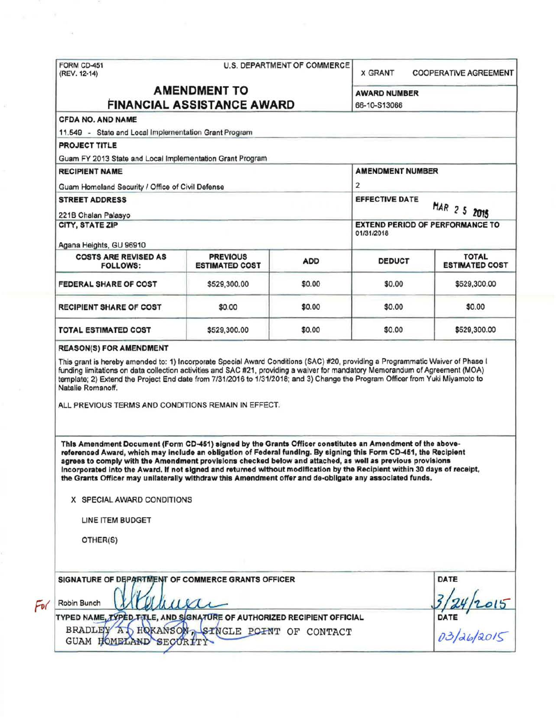|                                                                                                                                                                                                                                                                                                                                                                                                                                                         |                                          | U.S. DEPARTMENT OF COMMERCE                                          | <b>X GRANT</b>          | <b>COOPERATIVE AGREEMENT</b>                 |  |
|---------------------------------------------------------------------------------------------------------------------------------------------------------------------------------------------------------------------------------------------------------------------------------------------------------------------------------------------------------------------------------------------------------------------------------------------------------|------------------------------------------|----------------------------------------------------------------------|-------------------------|----------------------------------------------|--|
| <b>AMENDMENT TO</b>                                                                                                                                                                                                                                                                                                                                                                                                                                     |                                          |                                                                      | <b>AWARD NUMBER</b>     |                                              |  |
| <b>FINANCIAL ASSISTANCE AWARD</b>                                                                                                                                                                                                                                                                                                                                                                                                                       |                                          |                                                                      | 66-10-S13066            |                                              |  |
| <b>CFDA NO. AND NAME</b><br>11.549 - State and Local Implementation Grant Program                                                                                                                                                                                                                                                                                                                                                                       |                                          |                                                                      |                         |                                              |  |
| <b>PROJECT TITLE</b>                                                                                                                                                                                                                                                                                                                                                                                                                                    |                                          |                                                                      |                         |                                              |  |
| Guam FY 2013 State and Local Implementation Grant Program                                                                                                                                                                                                                                                                                                                                                                                               |                                          |                                                                      |                         |                                              |  |
| <b>RECIPIENT NAME</b>                                                                                                                                                                                                                                                                                                                                                                                                                                   |                                          |                                                                      | <b>AMENDMENT NUMBER</b> |                                              |  |
|                                                                                                                                                                                                                                                                                                                                                                                                                                                         |                                          |                                                                      | 2                       |                                              |  |
| Guam Homeland Security / Office of Civil Defense                                                                                                                                                                                                                                                                                                                                                                                                        |                                          |                                                                      |                         |                                              |  |
| <b>STREET ADDRESS</b>                                                                                                                                                                                                                                                                                                                                                                                                                                   |                                          | <b>EFFECTIVE DATE</b>                                                |                         |                                              |  |
| 221B Chalan Palasyo                                                                                                                                                                                                                                                                                                                                                                                                                                     |                                          | MAR 2 5 2015<br><b>EXTEND PERIOD OF PERFORMANCE TO</b><br>01/31/2018 |                         |                                              |  |
| CITY, STATE ZIP<br>Agana Heights, GU 96910                                                                                                                                                                                                                                                                                                                                                                                                              |                                          |                                                                      |                         |                                              |  |
| <b>COSTS ARE REVISED AS</b><br><b>FOLLOWS:</b>                                                                                                                                                                                                                                                                                                                                                                                                          | <b>PREVIOUS</b><br><b>ESTIMATED COST</b> | <b>ADD</b>                                                           | <b>DEDUCT</b>           | <b>TOTAL</b><br><b>ESTIMATED COST</b>        |  |
| <b>FEDERAL SHARE OF COST</b>                                                                                                                                                                                                                                                                                                                                                                                                                            | \$529,300.00                             | \$0.00                                                               | \$0.00                  | \$529,300.00                                 |  |
| <b>RECIPIENT SHARE OF COST</b>                                                                                                                                                                                                                                                                                                                                                                                                                          | \$0.00                                   | \$0.00                                                               | \$0.00                  | \$0.00                                       |  |
| <b>TOTAL ESTIMATED COST</b>                                                                                                                                                                                                                                                                                                                                                                                                                             | \$529,300.00                             | \$0.00                                                               | \$0.00                  | \$529,300.00                                 |  |
| <b>REASON(S) FOR AMENDMENT</b><br>This grant is hereby amended to: 1) Incorporate Special Award Conditions (SAC) #20, providing a Programmatic Waiver of Phase I<br>funding limitations on data collection activities and SAC #21, providing a waiver for mandatory Memorandum of Agreement (MOA)<br>template; 2) Extend the Project End date from 7/31/2016 to 1/31/2018; and 3) Change the Program Officer from Yuki Miyamoto to<br>Natalie Romanoff. |                                          |                                                                      |                         |                                              |  |
| ALL PREVIOUS TERMS AND CONDITIONS REMAIN IN EFFECT.<br>This Amendment Document (Form CD-451) signed by the Grants Officer constitutes an Amendment of the above-<br>referenced Award, which may include an obligation of Federal funding. By signing this Form CD-451, the Recipient<br>agrees to comply with the Amendment provisions checked below and attached, as well as previous provisions                                                       |                                          |                                                                      |                         |                                              |  |
| Incorporated into the Award. If not signed and returned without modification by the Recipient within 30 days of receipt.<br>the Grants Officer may unilaterally withdraw this Amendment offer and de-obligate any associated funds.                                                                                                                                                                                                                     |                                          |                                                                      |                         |                                              |  |
| X SPECIAL AWARD CONDITIONS                                                                                                                                                                                                                                                                                                                                                                                                                              |                                          |                                                                      |                         |                                              |  |
| LINE ITEM BUDGET                                                                                                                                                                                                                                                                                                                                                                                                                                        |                                          |                                                                      |                         |                                              |  |
| OTHER(S)                                                                                                                                                                                                                                                                                                                                                                                                                                                |                                          |                                                                      |                         |                                              |  |
| SIGNATURE OF DEPARTMENT OF COMMERCE GRANTS OFFICER                                                                                                                                                                                                                                                                                                                                                                                                      |                                          |                                                                      |                         | <b>DATE</b>                                  |  |
| Robin Bunch                                                                                                                                                                                                                                                                                                                                                                                                                                             | uudi                                     |                                                                      |                         |                                              |  |
| TYPED NAME, TYPED TITLE, AND SIGNATURE OF AUTHORIZED RECIPIENT OFFICIAL<br>BRADLEY AT HOKANSON SINGLE POINT OF CONTACT                                                                                                                                                                                                                                                                                                                                  |                                          |                                                                      |                         | $\frac{1}{\frac{124}{2015}}$<br>$03/26/2015$ |  |